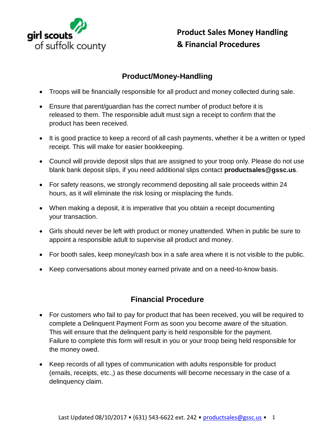

## **Product Sales Money Handling & Financial Procedures**

## **Product/Money-Handling**

- Troops will be financially responsible for all product and money collected during sale.
- Ensure that parent/guardian has the correct number of product before it is released to them. The responsible adult must sign a receipt to confirm that the product has been received.
- It is good practice to keep a record of all cash payments, whether it be a written or typed receipt. This will make for easier bookkeeping.
- Council will provide deposit slips that are assigned to your troop only. Please do not use blank bank deposit slips, if you need additional slips contact **productsales@gssc.us**.
- For safety reasons, we strongly recommend depositing all sale proceeds within 24 hours, as it will eliminate the risk losing or misplacing the funds.
- When making a deposit, it is imperative that you obtain a receipt documenting your transaction.
- Girls should never be left with product or money unattended. When in public be sure to appoint a responsible adult to supervise all product and money.
- For booth sales, keep money/cash box in a safe area where it is not visible to the public.
- Keep conversations about money earned private and on a need-to-know basis.

## **Financial Procedure**

- For customers who fail to pay for product that has been received, you will be required to complete a Delinquent Payment Form as soon you become aware of the situation. This will ensure that the delinquent party is held responsible for the payment. Failure to complete this form will result in you or your troop being held responsible for the money owed.
- Keep records of all types of communication with adults responsible for product (emails, receipts, etc.,) as these documents will become necessary in the case of a delinquency claim.